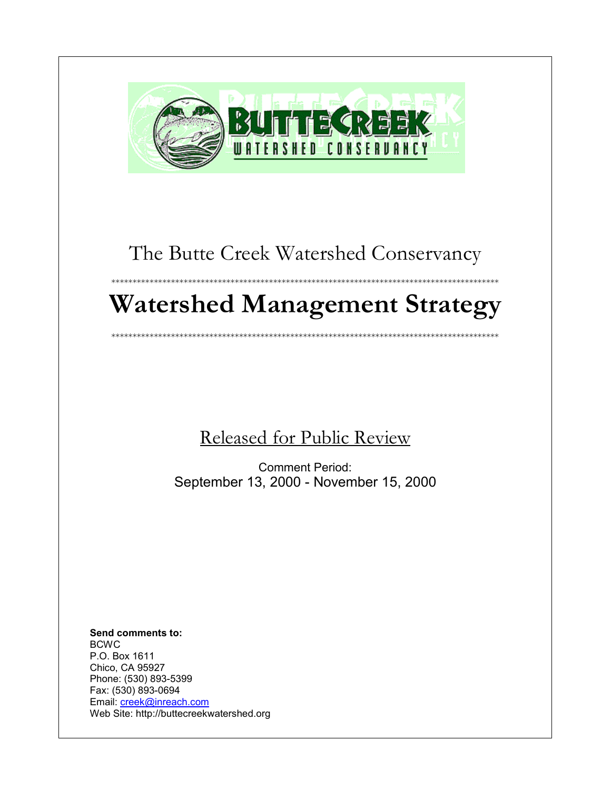

# The Butte Creek Watershed Conservancy

\*\*\*\*\*\*\*\*\*\*\*\*\*\*\*\*\*\*\*\*\*\*\*\*\*\*\*\*\*\*\*\*\*\*\*\*\*\*\*\*\*\*\*\*\*\*\*\*\*\*\*\*\*\*\*\*\*\*\*\*\*\*\*\*\*\*\*\*\*\*\*\*\*\*\*\*\*\*\*\*\*\*\*\*\*\*\*\*\*\*\*

# **Watershed Management Strategy**

\*\*\*\*\*\*\*\*\*\*\*\*\*\*\*\*\*\*\*\*\*\*\*\*\*\*\*\*\*\*\*\*\*\*\*\*\*\*\*\*\*\*\*\*\*\*\*\*\*\*\*\*\*\*\*\*\*\*\*\*\*\*\*\*\*\*\*\*\*\*\*\*\*\*\*\*\*\*\*\*\*\*\*\*\*\*\*\*\*\*\*

Released for Public Review

Comment Period: September 13, 2000 - November 15, 2000

**Send comments to:** BCWC P.O. Box 1611 Chico, CA 95927 Phone: (530) 893-5399 Fax: (530) 893-0694 Email: [creek@inreach.com](mailto:creek@inreach.com) Web Site: http://buttecreekwatershed.org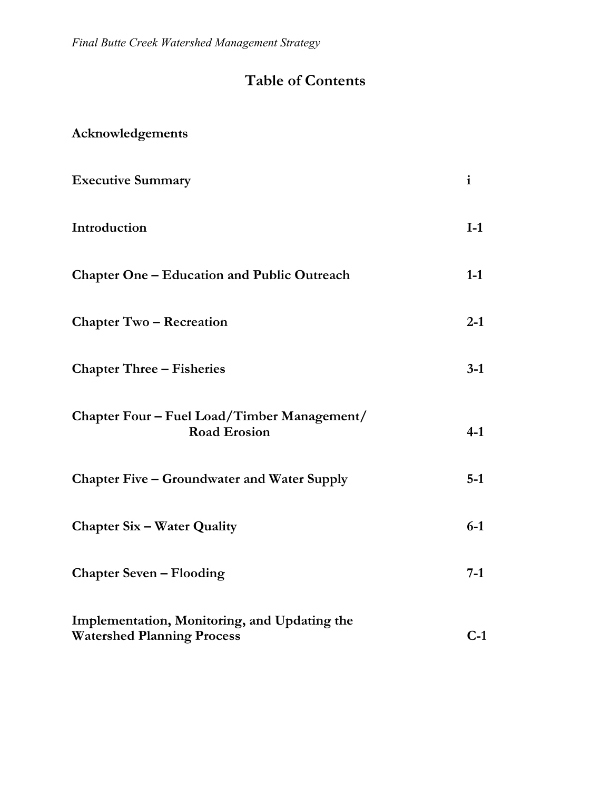*Final Butte Creek Watershed Management Strategy*

# **Table of Contents**

| Acknowledgements |  |
|------------------|--|
|------------------|--|

| <b>Executive Summary</b>                                                          | $\mathbf{i}$ |
|-----------------------------------------------------------------------------------|--------------|
| Introduction                                                                      | $I-1$        |
| <b>Chapter One – Education and Public Outreach</b>                                | $1-1$        |
| <b>Chapter Two – Recreation</b>                                                   | $2 - 1$      |
| <b>Chapter Three – Fisheries</b>                                                  | $3-1$        |
| Chapter Four - Fuel Load/Timber Management/<br><b>Road Erosion</b>                | $4-1$        |
| <b>Chapter Five – Groundwater and Water Supply</b>                                | $5-1$        |
| <b>Chapter Six - Water Quality</b>                                                | $6-1$        |
| <b>Chapter Seven – Flooding</b>                                                   | $7-1$        |
| Implementation, Monitoring, and Updating the<br><b>Watershed Planning Process</b> | $C-1$        |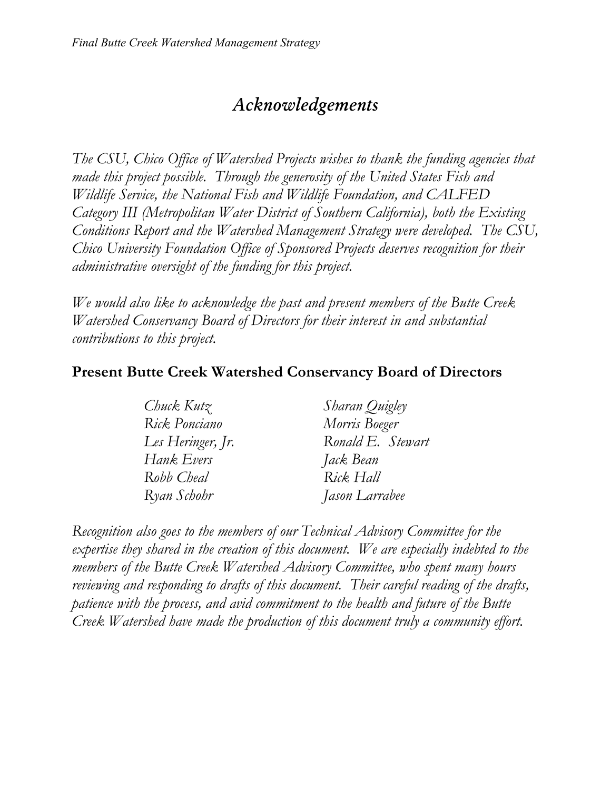# *Acknowledgements*

*The CSU, Chico Office of Watershed Projects wishes to thank the funding agencies that made this project possible. Through the generosity of the United States Fish and Wildlife Service, the National Fish and Wildlife Foundation, and CALFED Category III (Metropolitan Water District of Southern California), both the Existing Conditions Report and the Watershed Management Strategy were developed. The CSU, Chico University Foundation Office of Sponsored Projects deserves recognition for their administrative oversight of the funding for this project.*

*We would also like to acknowledge the past and present members of the Butte Creek Watershed Conservancy Board of Directors for their interest in and substantial contributions to this project.*

### **Present Butte Creek Watershed Conservancy Board of Directors**

| Chuck Kutz        | Sharan Quigley    |
|-------------------|-------------------|
| Rick Ponciano     | Morris Boeger     |
| Les Heringer, Jr. | Ronald E. Stewart |
| Hank Evers        | Jack Bean         |
| Robb Cheal        | Rick Hall         |
| Ryan Schohr       | Jason Larrabee    |

*Recognition also goes to the members of our Technical Advisory Committee for the expertise they shared in the creation of this document. We are especially indebted to the members of the Butte Creek Watershed Advisory Committee, who spent many hours reviewing and responding to drafts of this document. Their careful reading of the drafts, patience with the process, and avid commitment to the health and future of the Butte Creek Watershed have made the production of this document truly a community effort.*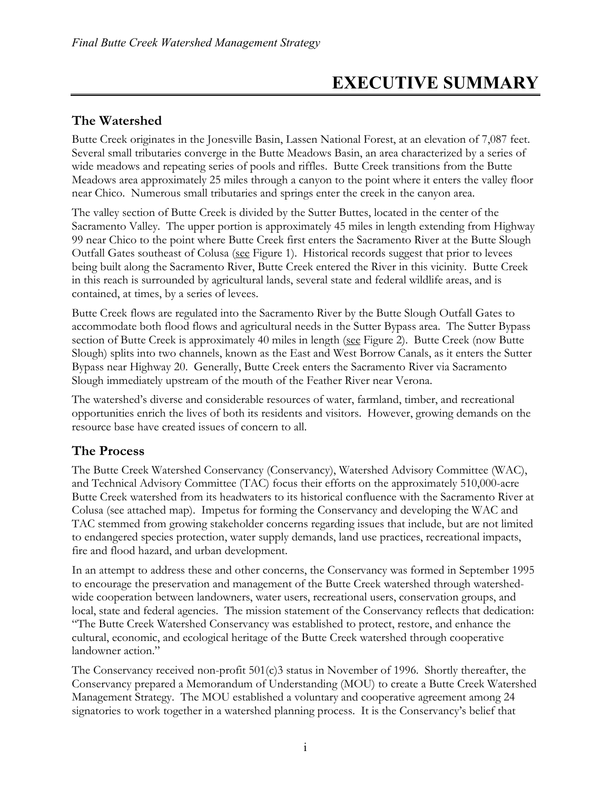# **EXECUTIVE SUMMARY**

### **The Watershed**

Butte Creek originates in the Jonesville Basin, Lassen National Forest, at an elevation of 7,087 feet. Several small tributaries converge in the Butte Meadows Basin, an area characterized by a series of wide meadows and repeating series of pools and riffles. Butte Creek transitions from the Butte Meadows area approximately 25 miles through a canyon to the point where it enters the valley floor near Chico. Numerous small tributaries and springs enter the creek in the canyon area.

The valley section of Butte Creek is divided by the Sutter Buttes, located in the center of the Sacramento Valley. The upper portion is approximately 45 miles in length extending from Highway 99 near Chico to the point where Butte Creek first enters the Sacramento River at the Butte Slough Outfall Gates southeast of Colusa (see Figure 1). Historical records suggest that prior to levees being built along the Sacramento River, Butte Creek entered the River in this vicinity. Butte Creek in this reach is surrounded by agricultural lands, several state and federal wildlife areas, and is contained, at times, by a series of levees.

Butte Creek flows are regulated into the Sacramento River by the Butte Slough Outfall Gates to accommodate both flood flows and agricultural needs in the Sutter Bypass area. The Sutter Bypass section of Butte Creek is approximately 40 miles in length (see Figure 2). Butte Creek (now Butte Slough) splits into two channels, known as the East and West Borrow Canals, as it enters the Sutter Bypass near Highway 20. Generally, Butte Creek enters the Sacramento River via Sacramento Slough immediately upstream of the mouth of the Feather River near Verona.

The watershed's diverse and considerable resources of water, farmland, timber, and recreational opportunities enrich the lives of both its residents and visitors. However, growing demands on the resource base have created issues of concern to all.

### **The Process**

The Butte Creek Watershed Conservancy (Conservancy), Watershed Advisory Committee (WAC), and Technical Advisory Committee (TAC) focus their efforts on the approximately 510,000-acre Butte Creek watershed from its headwaters to its historical confluence with the Sacramento River at Colusa (see attached map). Impetus for forming the Conservancy and developing the WAC and TAC stemmed from growing stakeholder concerns regarding issues that include, but are not limited to endangered species protection, water supply demands, land use practices, recreational impacts, fire and flood hazard, and urban development.

In an attempt to address these and other concerns, the Conservancy was formed in September 1995 to encourage the preservation and management of the Butte Creek watershed through watershedwide cooperation between landowners, water users, recreational users, conservation groups, and local, state and federal agencies. The mission statement of the Conservancy reflects that dedication: "The Butte Creek Watershed Conservancy was established to protect, restore, and enhance the cultural, economic, and ecological heritage of the Butte Creek watershed through cooperative landowner action."

The Conservancy received non-profit 501(c)3 status in November of 1996. Shortly thereafter, the Conservancy prepared a Memorandum of Understanding (MOU) to create a Butte Creek Watershed Management Strategy. The MOU established a voluntary and cooperative agreement among 24 signatories to work together in a watershed planning process. It is the Conservancy's belief that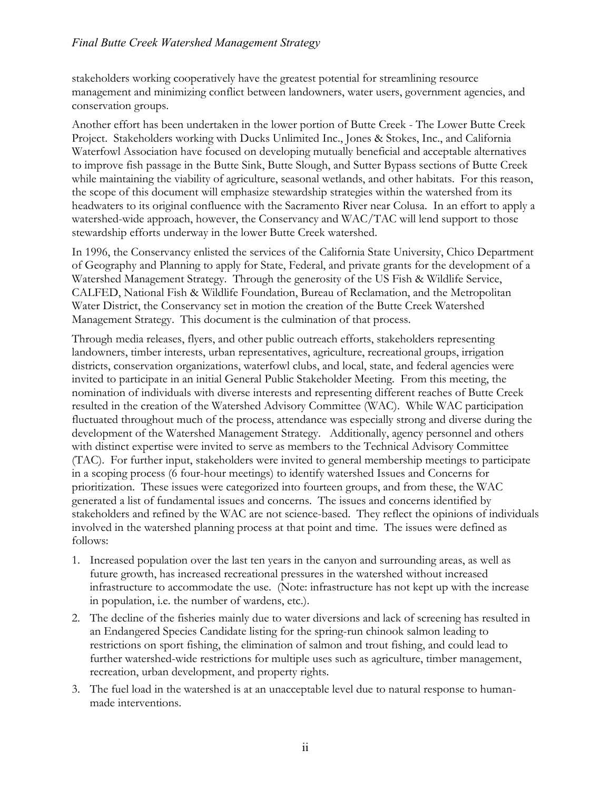#### *Final Butte Creek Watershed Management Strategy*

stakeholders working cooperatively have the greatest potential for streamlining resource management and minimizing conflict between landowners, water users, government agencies, and conservation groups.

Another effort has been undertaken in the lower portion of Butte Creek - The Lower Butte Creek Project. Stakeholders working with Ducks Unlimited Inc., Jones & Stokes, Inc., and California Waterfowl Association have focused on developing mutually beneficial and acceptable alternatives to improve fish passage in the Butte Sink, Butte Slough, and Sutter Bypass sections of Butte Creek while maintaining the viability of agriculture, seasonal wetlands, and other habitats. For this reason, the scope of this document will emphasize stewardship strategies within the watershed from its headwaters to its original confluence with the Sacramento River near Colusa. In an effort to apply a watershed-wide approach, however, the Conservancy and WAC/TAC will lend support to those stewardship efforts underway in the lower Butte Creek watershed.

In 1996, the Conservancy enlisted the services of the California State University, Chico Department of Geography and Planning to apply for State, Federal, and private grants for the development of a Watershed Management Strategy. Through the generosity of the US Fish & Wildlife Service, CALFED, National Fish & Wildlife Foundation, Bureau of Reclamation, and the Metropolitan Water District, the Conservancy set in motion the creation of the Butte Creek Watershed Management Strategy. This document is the culmination of that process.

Through media releases, flyers, and other public outreach efforts, stakeholders representing landowners, timber interests, urban representatives, agriculture, recreational groups, irrigation districts, conservation organizations, waterfowl clubs, and local, state, and federal agencies were invited to participate in an initial General Public Stakeholder Meeting. From this meeting, the nomination of individuals with diverse interests and representing different reaches of Butte Creek resulted in the creation of the Watershed Advisory Committee (WAC). While WAC participation fluctuated throughout much of the process, attendance was especially strong and diverse during the development of the Watershed Management Strategy. Additionally, agency personnel and others with distinct expertise were invited to serve as members to the Technical Advisory Committee (TAC). For further input, stakeholders were invited to general membership meetings to participate in a scoping process (6 four-hour meetings) to identify watershed Issues and Concerns for prioritization. These issues were categorized into fourteen groups, and from these, the WAC generated a list of fundamental issues and concerns. The issues and concerns identified by stakeholders and refined by the WAC are not science-based. They reflect the opinions of individuals involved in the watershed planning process at that point and time. The issues were defined as follows:

- 1. Increased population over the last ten years in the canyon and surrounding areas, as well as future growth, has increased recreational pressures in the watershed without increased infrastructure to accommodate the use. (Note: infrastructure has not kept up with the increase in population, i.e. the number of wardens, etc.).
- 2. The decline of the fisheries mainly due to water diversions and lack of screening has resulted in an Endangered Species Candidate listing for the spring-run chinook salmon leading to restrictions on sport fishing, the elimination of salmon and trout fishing, and could lead to further watershed-wide restrictions for multiple uses such as agriculture, timber management, recreation, urban development, and property rights.
- 3. The fuel load in the watershed is at an unacceptable level due to natural response to humanmade interventions.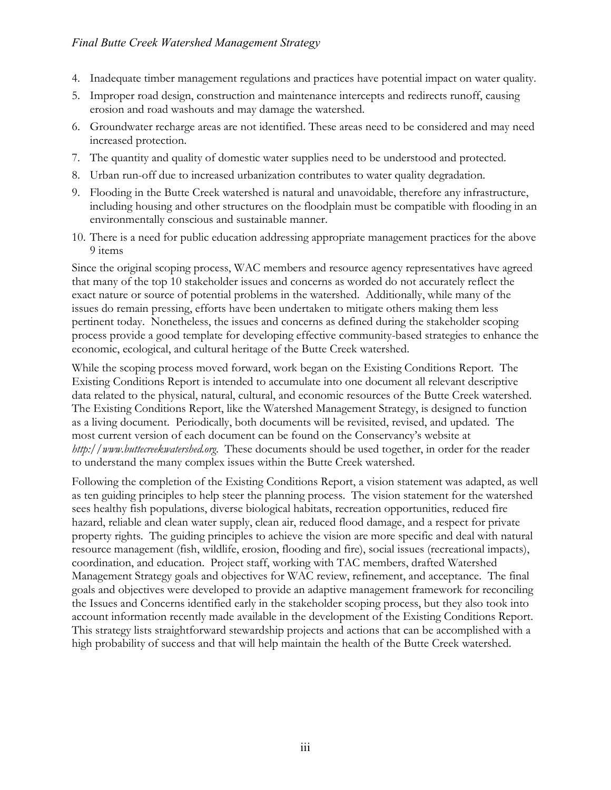- 4. Inadequate timber management regulations and practices have potential impact on water quality.
- 5. Improper road design, construction and maintenance intercepts and redirects runoff, causing erosion and road washouts and may damage the watershed.
- 6. Groundwater recharge areas are not identified. These areas need to be considered and may need increased protection.
- 7. The quantity and quality of domestic water supplies need to be understood and protected.
- 8. Urban run-off due to increased urbanization contributes to water quality degradation.
- 9. Flooding in the Butte Creek watershed is natural and unavoidable, therefore any infrastructure, including housing and other structures on the floodplain must be compatible with flooding in an environmentally conscious and sustainable manner.
- 10. There is a need for public education addressing appropriate management practices for the above 9 items

Since the original scoping process, WAC members and resource agency representatives have agreed that many of the top 10 stakeholder issues and concerns as worded do not accurately reflect the exact nature or source of potential problems in the watershed. Additionally, while many of the issues do remain pressing, efforts have been undertaken to mitigate others making them less pertinent today. Nonetheless, the issues and concerns as defined during the stakeholder scoping process provide a good template for developing effective community-based strategies to enhance the economic, ecological, and cultural heritage of the Butte Creek watershed.

While the scoping process moved forward, work began on the Existing Conditions Report. The Existing Conditions Report is intended to accumulate into one document all relevant descriptive data related to the physical, natural, cultural, and economic resources of the Butte Creek watershed. The Existing Conditions Report, like the Watershed Management Strategy, is designed to function as a living document. Periodically, both documents will be revisited, revised, and updated. The most current version of each document can be found on the Conservancy's website at *http://www.buttecreekwatershed.org*. These documents should be used together, in order for the reader to understand the many complex issues within the Butte Creek watershed.

Following the completion of the Existing Conditions Report, a vision statement was adapted, as well as ten guiding principles to help steer the planning process. The vision statement for the watershed sees healthy fish populations, diverse biological habitats, recreation opportunities, reduced fire hazard, reliable and clean water supply, clean air, reduced flood damage, and a respect for private property rights. The guiding principles to achieve the vision are more specific and deal with natural resource management (fish, wildlife, erosion, flooding and fire), social issues (recreational impacts), coordination, and education. Project staff, working with TAC members, drafted Watershed Management Strategy goals and objectives for WAC review, refinement, and acceptance. The final goals and objectives were developed to provide an adaptive management framework for reconciling the Issues and Concerns identified early in the stakeholder scoping process, but they also took into account information recently made available in the development of the Existing Conditions Report. This strategy lists straightforward stewardship projects and actions that can be accomplished with a high probability of success and that will help maintain the health of the Butte Creek watershed.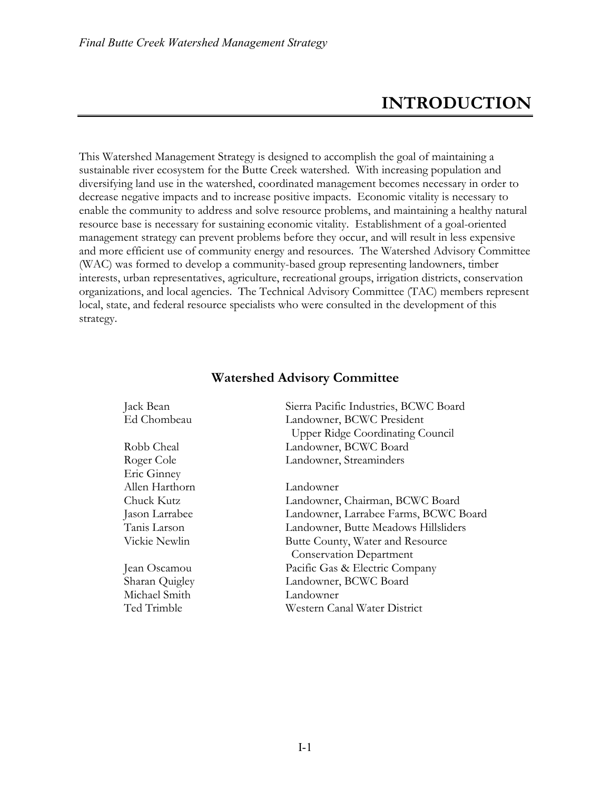# **INTRODUCTION**

This Watershed Management Strategy is designed to accomplish the goal of maintaining a sustainable river ecosystem for the Butte Creek watershed. With increasing population and diversifying land use in the watershed, coordinated management becomes necessary in order to decrease negative impacts and to increase positive impacts. Economic vitality is necessary to enable the community to address and solve resource problems, and maintaining a healthy natural resource base is necessary for sustaining economic vitality. Establishment of a goal-oriented management strategy can prevent problems before they occur, and will result in less expensive and more efficient use of community energy and resources. The Watershed Advisory Committee (WAC) was formed to develop a community-based group representing landowners, timber interests, urban representatives, agriculture, recreational groups, irrigation districts, conservation organizations, and local agencies. The Technical Advisory Committee (TAC) members represent local, state, and federal resource specialists who were consulted in the development of this strategy.

| Jack Bean      | Sierra Pacific Industries, BCWC Board   |
|----------------|-----------------------------------------|
| Ed Chombeau    | Landowner, BCWC President               |
|                | <b>Upper Ridge Coordinating Council</b> |
| Robb Cheal     | Landowner, BCWC Board                   |
| Roger Cole     | Landowner, Streaminders                 |
| Eric Ginney    |                                         |
| Allen Harthorn | Landowner                               |
| Chuck Kutz     | Landowner, Chairman, BCWC Board         |
| Jason Larrabee | Landowner, Larrabee Farms, BCWC Board   |
| Tanis Larson   | Landowner, Butte Meadows Hillsliders    |
| Vickie Newlin  | Butte County, Water and Resource        |
|                | <b>Conservation Department</b>          |
| Jean Oscamou   | Pacific Gas & Electric Company          |
| Sharan Quigley | Landowner, BCWC Board                   |
| Michael Smith  | Landowner                               |
| Ted Trimble    | Western Canal Water District            |
|                |                                         |

#### **Watershed Advisory Committee**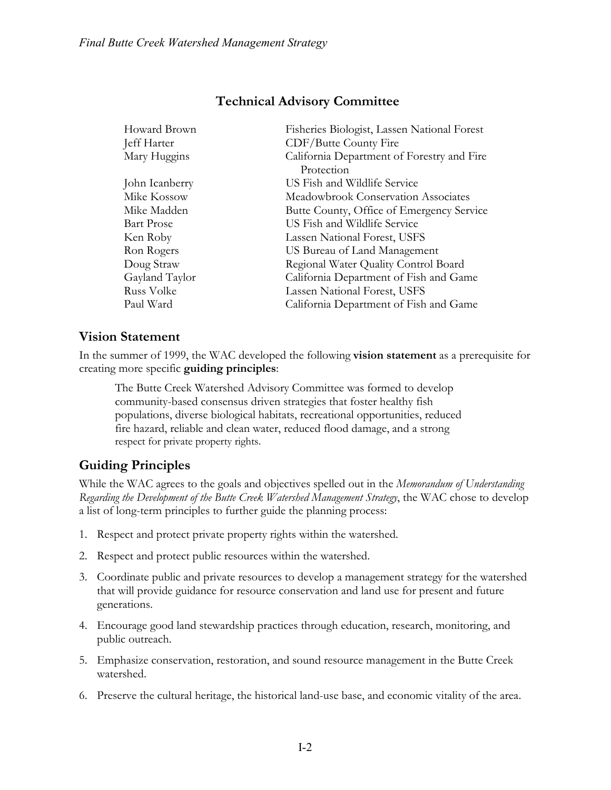| Fisheries Biologist, Lassen National Forest |
|---------------------------------------------|
| CDF/Butte County Fire                       |
| California Department of Forestry and Fire  |
| Protection                                  |
| US Fish and Wildlife Service                |
| Meadowbrook Conservation Associates         |
| Butte County, Office of Emergency Service   |
| US Fish and Wildlife Service                |
| Lassen National Forest, USFS                |
| US Bureau of Land Management                |
| Regional Water Quality Control Board        |
| California Department of Fish and Game      |
| Lassen National Forest, USFS                |
| California Department of Fish and Game      |
|                                             |

### **Technical Advisory Committee**

### **Vision Statement**

In the summer of 1999, the WAC developed the following **vision statement** as a prerequisite for creating more specific **guiding principles**:

The Butte Creek Watershed Advisory Committee was formed to develop community-based consensus driven strategies that foster healthy fish populations, diverse biological habitats, recreational opportunities, reduced fire hazard, reliable and clean water, reduced flood damage, and a strong respect for private property rights.

### **Guiding Principles**

While the WAC agrees to the goals and objectives spelled out in the *Memorandum of Understanding Regarding the Development of the Butte Creek Watershed Management Strategy*, the WAC chose to develop a list of long-term principles to further guide the planning process:

- 1. Respect and protect private property rights within the watershed.
- 2. Respect and protect public resources within the watershed.
- 3. Coordinate public and private resources to develop a management strategy for the watershed that will provide guidance for resource conservation and land use for present and future generations.
- 4. Encourage good land stewardship practices through education, research, monitoring, and public outreach.
- 5. Emphasize conservation, restoration, and sound resource management in the Butte Creek watershed.
- 6. Preserve the cultural heritage, the historical land-use base, and economic vitality of the area.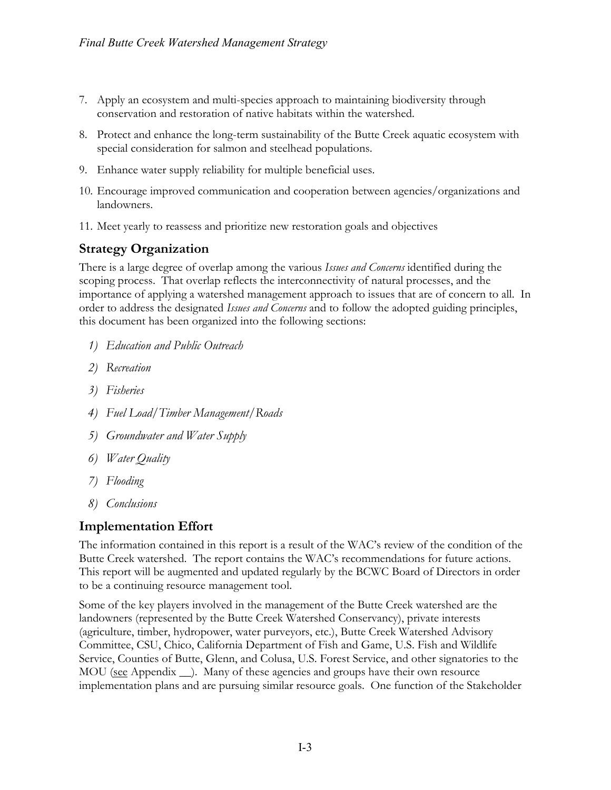- 7. Apply an ecosystem and multi-species approach to maintaining biodiversity through conservation and restoration of native habitats within the watershed.
- 8. Protect and enhance the long-term sustainability of the Butte Creek aquatic ecosystem with special consideration for salmon and steelhead populations.
- 9. Enhance water supply reliability for multiple beneficial uses.
- 10. Encourage improved communication and cooperation between agencies/organizations and landowners.
- 11. Meet yearly to reassess and prioritize new restoration goals and objectives

### **Strategy Organization**

There is a large degree of overlap among the various *Issues and Concerns* identified during the scoping process. That overlap reflects the interconnectivity of natural processes, and the importance of applying a watershed management approach to issues that are of concern to all. In order to address the designated *Issues and Concerns* and to follow the adopted guiding principles, this document has been organized into the following sections:

- *1) Education and Public Outreach*
- *2) Recreation*
- *3) Fisheries*
- *4) Fuel Load/Timber Management/Roads*
- *5) Groundwater and Water Supply*
- *6) Water Quality*
- *7) Flooding*
- *8) Conclusions*

### **Implementation Effort**

The information contained in this report is a result of the WAC's review of the condition of the Butte Creek watershed. The report contains the WAC's recommendations for future actions. This report will be augmented and updated regularly by the BCWC Board of Directors in order to be a continuing resource management tool.

Some of the key players involved in the management of the Butte Creek watershed are the landowners (represented by the Butte Creek Watershed Conservancy), private interests (agriculture, timber, hydropower, water purveyors, etc.), Butte Creek Watershed Advisory Committee, CSU, Chico, California Department of Fish and Game, U.S. Fish and Wildlife Service, Counties of Butte, Glenn, and Colusa, U.S. Forest Service, and other signatories to the MOU (see Appendix \_\_). Many of these agencies and groups have their own resource implementation plans and are pursuing similar resource goals. One function of the Stakeholder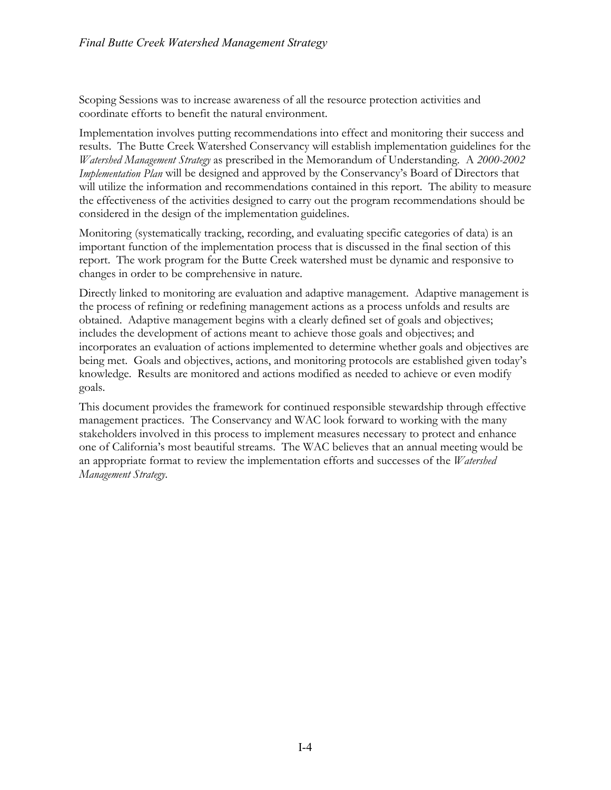Scoping Sessions was to increase awareness of all the resource protection activities and coordinate efforts to benefit the natural environment.

Implementation involves putting recommendations into effect and monitoring their success and results. The Butte Creek Watershed Conservancy will establish implementation guidelines for the *Watershed Management Strategy* as prescribed in the Memorandum of Understanding. A *2000-2002 Implementation Plan* will be designed and approved by the Conservancy's Board of Directors that will utilize the information and recommendations contained in this report. The ability to measure the effectiveness of the activities designed to carry out the program recommendations should be considered in the design of the implementation guidelines.

Monitoring (systematically tracking, recording, and evaluating specific categories of data) is an important function of the implementation process that is discussed in the final section of this report. The work program for the Butte Creek watershed must be dynamic and responsive to changes in order to be comprehensive in nature.

Directly linked to monitoring are evaluation and adaptive management. Adaptive management is the process of refining or redefining management actions as a process unfolds and results are obtained. Adaptive management begins with a clearly defined set of goals and objectives; includes the development of actions meant to achieve those goals and objectives; and incorporates an evaluation of actions implemented to determine whether goals and objectives are being met. Goals and objectives, actions, and monitoring protocols are established given today's knowledge. Results are monitored and actions modified as needed to achieve or even modify goals.

This document provides the framework for continued responsible stewardship through effective management practices. The Conservancy and WAC look forward to working with the many stakeholders involved in this process to implement measures necessary to protect and enhance one of California's most beautiful streams. The WAC believes that an annual meeting would be an appropriate format to review the implementation efforts and successes of the *Watershed Management Strategy*.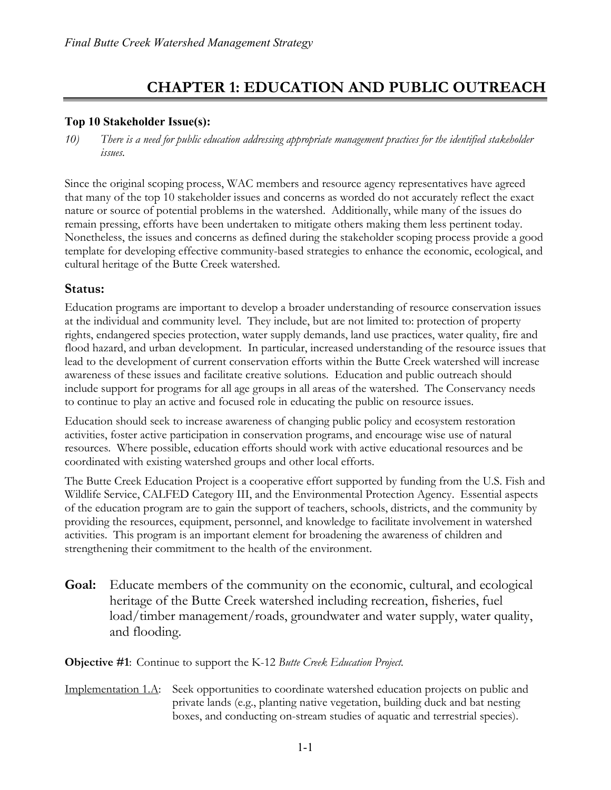## **CHAPTER 1: EDUCATION AND PUBLIC OUTREACH**

#### **Top 10 Stakeholder Issue(s):**

*10) There is a need for public education addressing appropriate management practices for the identified stakeholder issues.*

Since the original scoping process, WAC members and resource agency representatives have agreed that many of the top 10 stakeholder issues and concerns as worded do not accurately reflect the exact nature or source of potential problems in the watershed. Additionally, while many of the issues do remain pressing, efforts have been undertaken to mitigate others making them less pertinent today. Nonetheless, the issues and concerns as defined during the stakeholder scoping process provide a good template for developing effective community-based strategies to enhance the economic, ecological, and cultural heritage of the Butte Creek watershed.

### **Status:**

Education programs are important to develop a broader understanding of resource conservation issues at the individual and community level. They include, but are not limited to: protection of property rights, endangered species protection, water supply demands, land use practices, water quality, fire and flood hazard, and urban development. In particular, increased understanding of the resource issues that lead to the development of current conservation efforts within the Butte Creek watershed will increase awareness of these issues and facilitate creative solutions. Education and public outreach should include support for programs for all age groups in all areas of the watershed. The Conservancy needs to continue to play an active and focused role in educating the public on resource issues.

Education should seek to increase awareness of changing public policy and ecosystem restoration activities, foster active participation in conservation programs, and encourage wise use of natural resources. Where possible, education efforts should work with active educational resources and be coordinated with existing watershed groups and other local efforts.

The Butte Creek Education Project is a cooperative effort supported by funding from the U.S. Fish and Wildlife Service, CALFED Category III, and the Environmental Protection Agency. Essential aspects of the education program are to gain the support of teachers, schools, districts, and the community by providing the resources, equipment, personnel, and knowledge to facilitate involvement in watershed activities. This program is an important element for broadening the awareness of children and strengthening their commitment to the health of the environment.

**Goal:** Educate members of the community on the economic, cultural, and ecological heritage of the Butte Creek watershed including recreation, fisheries, fuel load/timber management/roads, groundwater and water supply, water quality, and flooding.

**Objective #1**: Continue to support the K-12 *Butte Creek Education Project.*

Implementation 1.A: Seek opportunities to coordinate watershed education projects on public and private lands (e.g., planting native vegetation, building duck and bat nesting boxes, and conducting on-stream studies of aquatic and terrestrial species).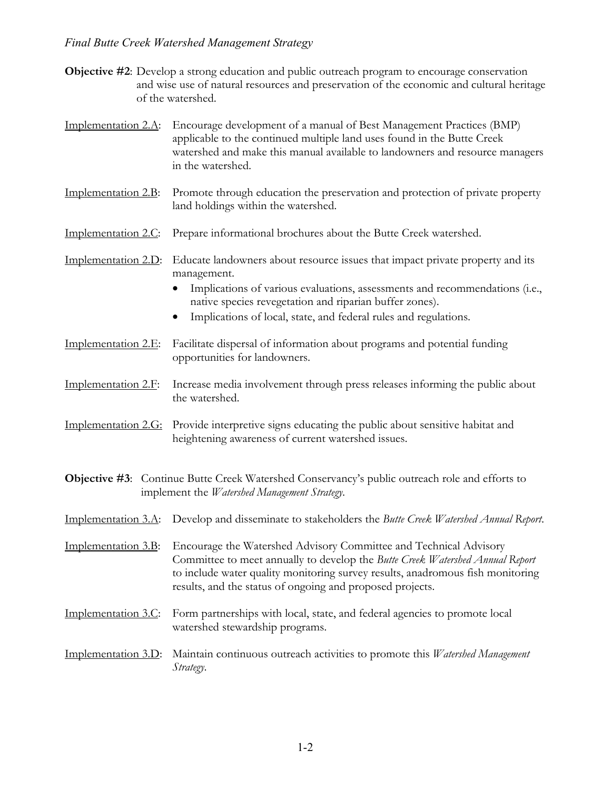#### *Final Butte Creek Watershed Management Strategy*

- **Objective #2**: Develop a strong education and public outreach program to encourage conservation and wise use of natural resources and preservation of the economic and cultural heritage of the watershed.
- Implementation 2.A: Encourage development of a manual of Best Management Practices (BMP) applicable to the continued multiple land uses found in the Butte Creek watershed and make this manual available to landowners and resource managers in the watershed.
- Implementation 2.B: Promote through education the preservation and protection of private property land holdings within the watershed.
- Implementation 2.C: Prepare informational brochures about the Butte Creek watershed.
- Implementation 2.D: Educate landowners about resource issues that impact private property and its management.
	- Implications of various evaluations, assessments and recommendations (i.e., native species revegetation and riparian buffer zones).
	- Implications of local, state, and federal rules and regulations.
- Implementation 2.E: Facilitate dispersal of information about programs and potential funding opportunities for landowners.
- Implementation 2.F: Increase media involvement through press releases informing the public about the watershed.
- Implementation 2.G: Provide interpretive signs educating the public about sensitive habitat and heightening awareness of current watershed issues.
- **Objective #3**: Continue Butte Creek Watershed Conservancy's public outreach role and efforts to implement the *Watershed Management Strategy*.
- Implementation 3.A: Develop and disseminate to stakeholders the *Butte Creek Watershed Annual Report*.
- Implementation 3.B: Encourage the Watershed Advisory Committee and Technical Advisory Committee to meet annually to develop the *Butte Creek Watershed Annual Report* to include water quality monitoring survey results, anadromous fish monitoring results, and the status of ongoing and proposed projects.
- Implementation 3.C: Form partnerships with local, state, and federal agencies to promote local watershed stewardship programs.
- Implementation 3.D: Maintain continuous outreach activities to promote this *Watershed Management Strategy*.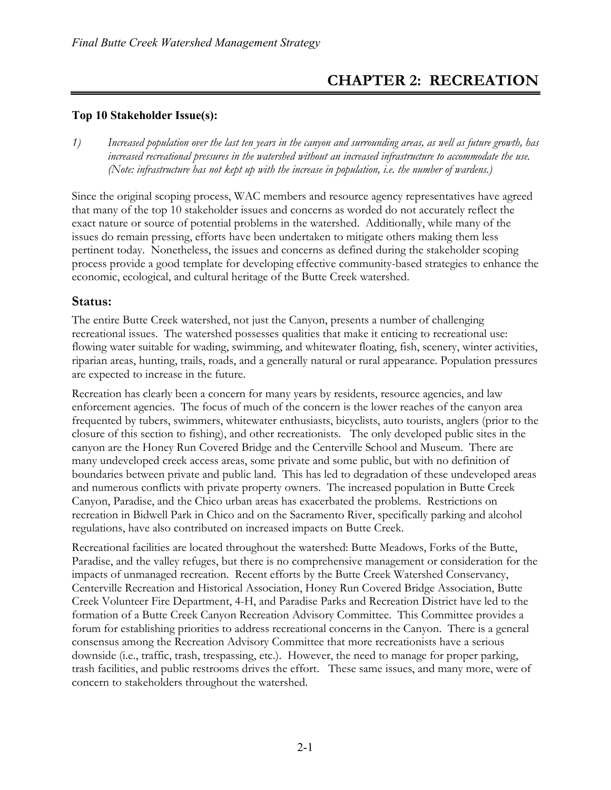# **CHAPTER 2: RECREATION**

### **Top 10 Stakeholder Issue(s):**

*1) Increased population over the last ten years in the canyon and surrounding areas, as well as future growth, has increased recreational pressures in the watershed without an increased infrastructure to accommodate the use. (Note: infrastructure has not kept up with the increase in population, i.e. the number of wardens.)*

Since the original scoping process, WAC members and resource agency representatives have agreed that many of the top 10 stakeholder issues and concerns as worded do not accurately reflect the exact nature or source of potential problems in the watershed. Additionally, while many of the issues do remain pressing, efforts have been undertaken to mitigate others making them less pertinent today. Nonetheless, the issues and concerns as defined during the stakeholder scoping process provide a good template for developing effective community-based strategies to enhance the economic, ecological, and cultural heritage of the Butte Creek watershed.

#### **Status:**

The entire Butte Creek watershed, not just the Canyon, presents a number of challenging recreational issues. The watershed possesses qualities that make it enticing to recreational use: flowing water suitable for wading, swimming, and whitewater floating, fish, scenery, winter activities, riparian areas, hunting, trails, roads, and a generally natural or rural appearance. Population pressures are expected to increase in the future.

Recreation has clearly been a concern for many years by residents, resource agencies, and law enforcement agencies. The focus of much of the concern is the lower reaches of the canyon area frequented by tubers, swimmers, whitewater enthusiasts, bicyclists, auto tourists, anglers (prior to the closure of this section to fishing), and other recreationists. The only developed public sites in the canyon are the Honey Run Covered Bridge and the Centerville School and Museum. There are many undeveloped creek access areas, some private and some public, but with no definition of boundaries between private and public land. This has led to degradation of these undeveloped areas and numerous conflicts with private property owners. The increased population in Butte Creek Canyon, Paradise, and the Chico urban areas has exacerbated the problems. Restrictions on recreation in Bidwell Park in Chico and on the Sacramento River, specifically parking and alcohol regulations, have also contributed on increased impacts on Butte Creek.

Recreational facilities are located throughout the watershed: Butte Meadows, Forks of the Butte, Paradise, and the valley refuges, but there is no comprehensive management or consideration for the impacts of unmanaged recreation. Recent efforts by the Butte Creek Watershed Conservancy, Centerville Recreation and Historical Association, Honey Run Covered Bridge Association, Butte Creek Volunteer Fire Department, 4-H, and Paradise Parks and Recreation District have led to the formation of a Butte Creek Canyon Recreation Advisory Committee. This Committee provides a forum for establishing priorities to address recreational concerns in the Canyon. There is a general consensus among the Recreation Advisory Committee that more recreationists have a serious downside (i.e., traffic, trash, trespassing, etc.). However, the need to manage for proper parking, trash facilities, and public restrooms drives the effort. These same issues, and many more, were of concern to stakeholders throughout the watershed.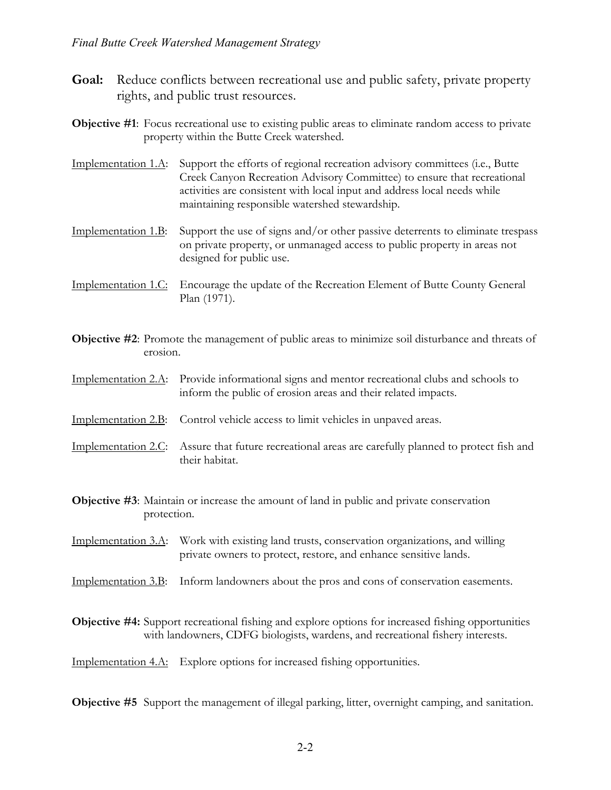- **Goal:** Reduce conflicts between recreational use and public safety, private property rights, and public trust resources.
- **Objective #1**: Focus recreational use to existing public areas to eliminate random access to private property within the Butte Creek watershed.
- Implementation 1.A: Support the efforts of regional recreation advisory committees (i.e., Butte Creek Canyon Recreation Advisory Committee) to ensure that recreational activities are consistent with local input and address local needs while maintaining responsible watershed stewardship.
- Implementation 1.B: Support the use of signs and/or other passive deterrents to eliminate trespass on private property, or unmanaged access to public property in areas not designed for public use.

Implementation 1.C: Encourage the update of the Recreation Element of Butte County General Plan (1971).

- **Objective #2**: Promote the management of public areas to minimize soil disturbance and threats of erosion.
- Implementation 2.A: Provide informational signs and mentor recreational clubs and schools to inform the public of erosion areas and their related impacts.
- Implementation 2.B: Control vehicle access to limit vehicles in unpaved areas.
- Implementation 2.C: Assure that future recreational areas are carefully planned to protect fish and their habitat.
- **Objective #3**: Maintain or increase the amount of land in public and private conservation protection.
- Implementation 3.A: Work with existing land trusts, conservation organizations, and willing private owners to protect, restore, and enhance sensitive lands.
- Implementation 3.B: Inform landowners about the pros and cons of conservation easements.
- **Objective #4:** Support recreational fishing and explore options for increased fishing opportunities with landowners, CDFG biologists, wardens, and recreational fishery interests.

Implementation 4.A: Explore options for increased fishing opportunities.

**Objective #5** Support the management of illegal parking, litter, overnight camping, and sanitation.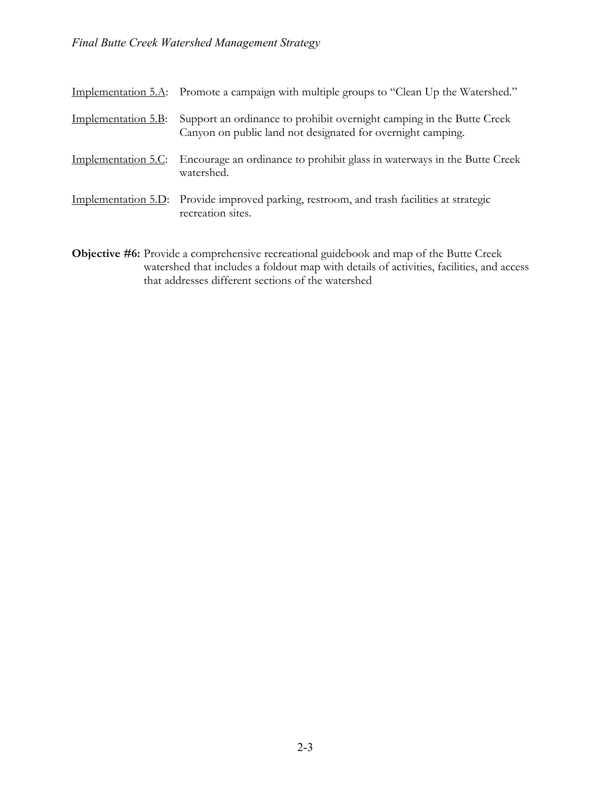|                     | Implementation 5.A: Promote a campaign with multiple groups to "Clean Up the Watershed."                                             |
|---------------------|--------------------------------------------------------------------------------------------------------------------------------------|
| Implementation 5.B: | Support an ordinance to prohibit overnight camping in the Butte Creek<br>Canyon on public land not designated for overnight camping. |
|                     | Implementation 5.C: Encourage an ordinance to prohibit glass in waterways in the Butte Creek<br>watershed.                           |
|                     | Implementation 5.D: Provide improved parking, restroom, and trash facilities at strategic<br>recreation sites.                       |

**Objective #6:** Provide a comprehensive recreational guidebook and map of the Butte Creek watershed that includes a foldout map with details of activities, facilities, and access that addresses different sections of the watershed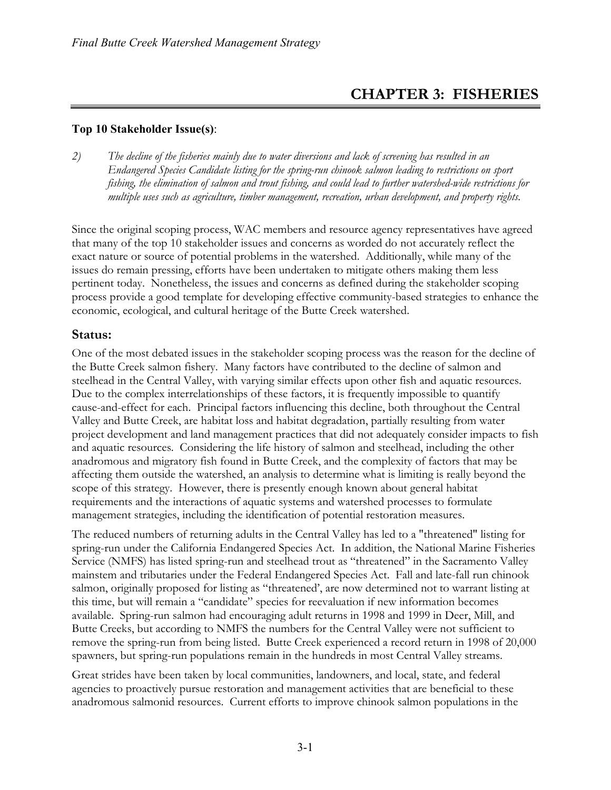# **CHAPTER 3: FISHERIES**

#### **Top 10 Stakeholder Issue(s)**:

*2) The decline of the fisheries mainly due to water diversions and lack of screening has resulted in an Endangered Species Candidate listing for the spring-run chinook salmon leading to restrictions on sport fishing, the elimination of salmon and trout fishing, and could lead to further watershed-wide restrictions for multiple uses such as agriculture, timber management, recreation, urban development, and property rights.*

Since the original scoping process, WAC members and resource agency representatives have agreed that many of the top 10 stakeholder issues and concerns as worded do not accurately reflect the exact nature or source of potential problems in the watershed. Additionally, while many of the issues do remain pressing, efforts have been undertaken to mitigate others making them less pertinent today. Nonetheless, the issues and concerns as defined during the stakeholder scoping process provide a good template for developing effective community-based strategies to enhance the economic, ecological, and cultural heritage of the Butte Creek watershed.

### **Status:**

One of the most debated issues in the stakeholder scoping process was the reason for the decline of the Butte Creek salmon fishery. Many factors have contributed to the decline of salmon and steelhead in the Central Valley, with varying similar effects upon other fish and aquatic resources. Due to the complex interrelationships of these factors, it is frequently impossible to quantify cause-and-effect for each. Principal factors influencing this decline, both throughout the Central Valley and Butte Creek, are habitat loss and habitat degradation, partially resulting from water project development and land management practices that did not adequately consider impacts to fish and aquatic resources. Considering the life history of salmon and steelhead, including the other anadromous and migratory fish found in Butte Creek, and the complexity of factors that may be affecting them outside the watershed, an analysis to determine what is limiting is really beyond the scope of this strategy. However, there is presently enough known about general habitat requirements and the interactions of aquatic systems and watershed processes to formulate management strategies, including the identification of potential restoration measures.

The reduced numbers of returning adults in the Central Valley has led to a "threatened" listing for spring-run under the California Endangered Species Act. In addition, the National Marine Fisheries Service (NMFS) has listed spring-run and steelhead trout as "threatened" in the Sacramento Valley mainstem and tributaries under the Federal Endangered Species Act. Fall and late-fall run chinook salmon, originally proposed for listing as "threatened', are now determined not to warrant listing at this time, but will remain a "candidate" species for reevaluation if new information becomes available. Spring-run salmon had encouraging adult returns in 1998 and 1999 in Deer, Mill, and Butte Creeks, but according to NMFS the numbers for the Central Valley were not sufficient to remove the spring-run from being listed. Butte Creek experienced a record return in 1998 of 20,000 spawners, but spring-run populations remain in the hundreds in most Central Valley streams.

Great strides have been taken by local communities, landowners, and local, state, and federal agencies to proactively pursue restoration and management activities that are beneficial to these anadromous salmonid resources. Current efforts to improve chinook salmon populations in the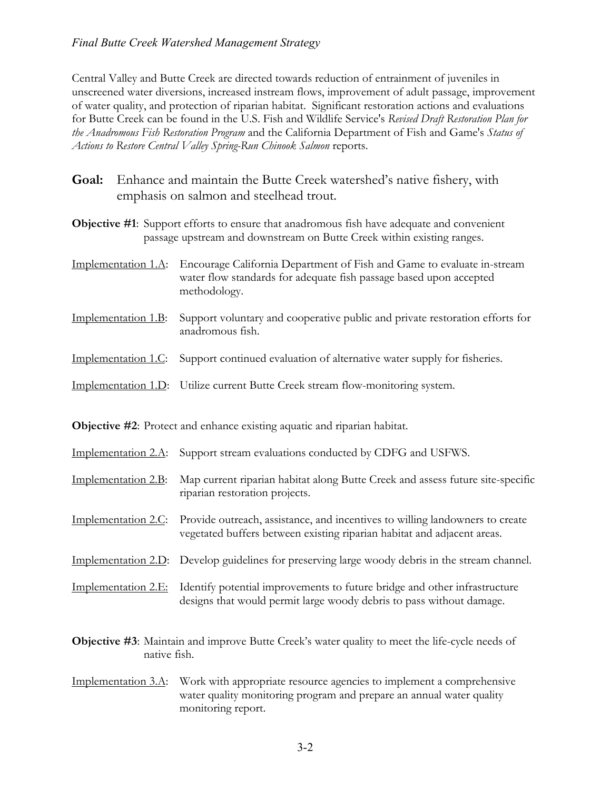#### *Final Butte Creek Watershed Management Strategy*

Central Valley and Butte Creek are directed towards reduction of entrainment of juveniles in unscreened water diversions, increased instream flows, improvement of adult passage, improvement of water quality, and protection of riparian habitat. Significant restoration actions and evaluations for Butte Creek can be found in the U.S. Fish and Wildlife Service's *Revised Draft Restoration Plan for the Anadromous Fish Restoration Program* and the California Department of Fish and Game's *Status of Actions to Restore Central Valley Spring-Run Chinook Salmon* reports.

- **Goal:** Enhance and maintain the Butte Creek watershed's native fishery, with emphasis on salmon and steelhead trout.
- **Objective #1**: Support efforts to ensure that anadromous fish have adequate and convenient passage upstream and downstream on Butte Creek within existing ranges.
- Implementation 1.A: Encourage California Department of Fish and Game to evaluate in-stream water flow standards for adequate fish passage based upon accepted methodology.
- Implementation 1.B: Support voluntary and cooperative public and private restoration efforts for anadromous fish.
- Implementation 1.C: Support continued evaluation of alternative water supply for fisheries.
- Implementation 1.D: Utilize current Butte Creek stream flow-monitoring system.

**Objective #2**: Protect and enhance existing aquatic and riparian habitat.

- Implementation 2.A: Support stream evaluations conducted by CDFG and USFWS.
- Implementation 2.B: Map current riparian habitat along Butte Creek and assess future site-specific riparian restoration projects.
- Implementation 2.C: Provide outreach, assistance, and incentives to willing landowners to create vegetated buffers between existing riparian habitat and adjacent areas.
- Implementation 2.D: Develop guidelines for preserving large woody debris in the stream channel.
- Implementation 2.E: Identify potential improvements to future bridge and other infrastructure designs that would permit large woody debris to pass without damage.
- **Objective #3**: Maintain and improve Butte Creek's water quality to meet the life-cycle needs of native fish.
- Implementation 3.A: Work with appropriate resource agencies to implement a comprehensive water quality monitoring program and prepare an annual water quality monitoring report.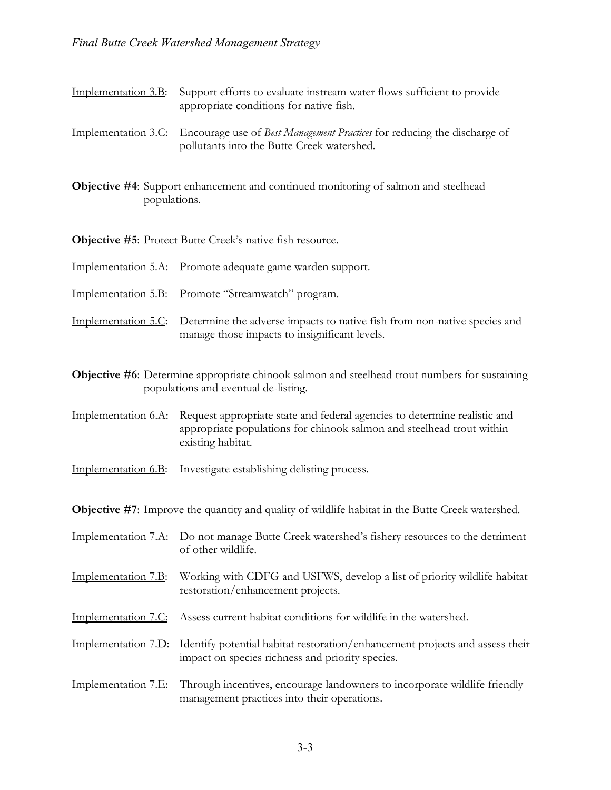Implementation 3.B: Support efforts to evaluate instream water flows sufficient to provide appropriate conditions for native fish.

Implementation 3.C: Encourage use of *Best Management Practices* for reducing the discharge of pollutants into the Butte Creek watershed.

**Objective #4**: Support enhancement and continued monitoring of salmon and steelhead populations.

**Objective #5**: Protect Butte Creek's native fish resource.

Implementation 5.A: Promote adequate game warden support.

Implementation 5.B: Promote "Streamwatch" program.

Implementation 5.C: Determine the adverse impacts to native fish from non-native species and manage those impacts to insignificant levels.

**Objective #6**: Determine appropriate chinook salmon and steelhead trout numbers for sustaining populations and eventual de-listing.

Implementation 6.A: Request appropriate state and federal agencies to determine realistic and appropriate populations for chinook salmon and steelhead trout within existing habitat.

Implementation 6.B: Investigate establishing delisting process.

**Objective #7**: Improve the quantity and quality of wildlife habitat in the Butte Creek watershed.

Implementation 7.A: Do not manage Butte Creek watershed's fishery resources to the detriment of other wildlife.

Implementation 7.B: Working with CDFG and USFWS, develop a list of priority wildlife habitat restoration/enhancement projects.

Implementation 7.C: Assess current habitat conditions for wildlife in the watershed.

Implementation 7.D: Identify potential habitat restoration/enhancement projects and assess their impact on species richness and priority species.

Implementation 7.E: Through incentives, encourage landowners to incorporate wildlife friendly management practices into their operations.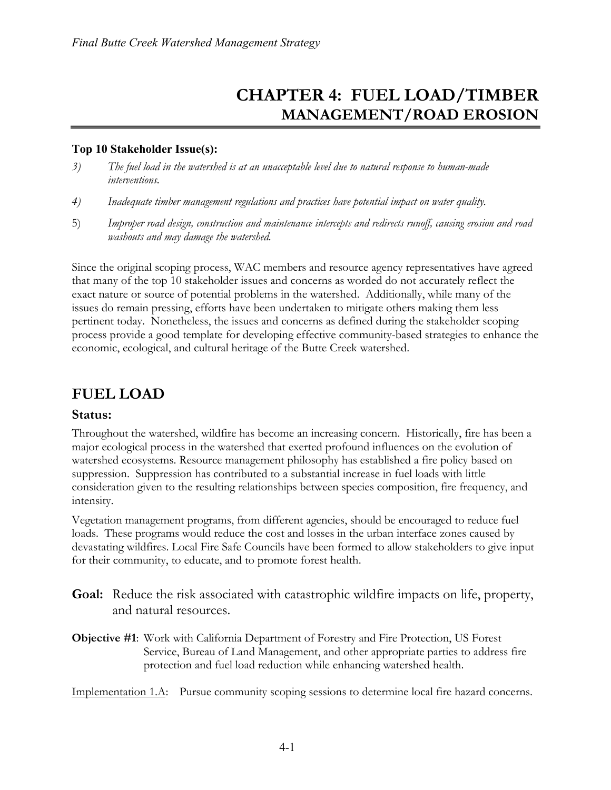# **CHAPTER 4: FUEL LOAD/TIMBER MANAGEMENT/ROAD EROSION**

#### **Top 10 Stakeholder Issue(s):**

- *3) The fuel load in the watershed is at an unacceptable level due to natural response to human-made interventions.*
- *4) Inadequate timber management regulations and practices have potential impact on water quality.*
- 5) *Improper road design, construction and maintenance intercepts and redirects runoff, causing erosion and road washouts and may damage the watershed.*

Since the original scoping process, WAC members and resource agency representatives have agreed that many of the top 10 stakeholder issues and concerns as worded do not accurately reflect the exact nature or source of potential problems in the watershed. Additionally, while many of the issues do remain pressing, efforts have been undertaken to mitigate others making them less pertinent today. Nonetheless, the issues and concerns as defined during the stakeholder scoping process provide a good template for developing effective community-based strategies to enhance the economic, ecological, and cultural heritage of the Butte Creek watershed.

# **FUEL LOAD**

### **Status:**

Throughout the watershed, wildfire has become an increasing concern. Historically, fire has been a major ecological process in the watershed that exerted profound influences on the evolution of watershed ecosystems. Resource management philosophy has established a fire policy based on suppression. Suppression has contributed to a substantial increase in fuel loads with little consideration given to the resulting relationships between species composition, fire frequency, and intensity.

Vegetation management programs, from different agencies, should be encouraged to reduce fuel loads. These programs would reduce the cost and losses in the urban interface zones caused by devastating wildfires. Local Fire Safe Councils have been formed to allow stakeholders to give input for their community, to educate, and to promote forest health.

- **Goal:** Reduce the risk associated with catastrophic wildfire impacts on life, property, and natural resources.
- **Objective #1**: Work with California Department of Forestry and Fire Protection, US Forest Service, Bureau of Land Management, and other appropriate parties to address fire protection and fuel load reduction while enhancing watershed health.

Implementation 1.A: Pursue community scoping sessions to determine local fire hazard concerns.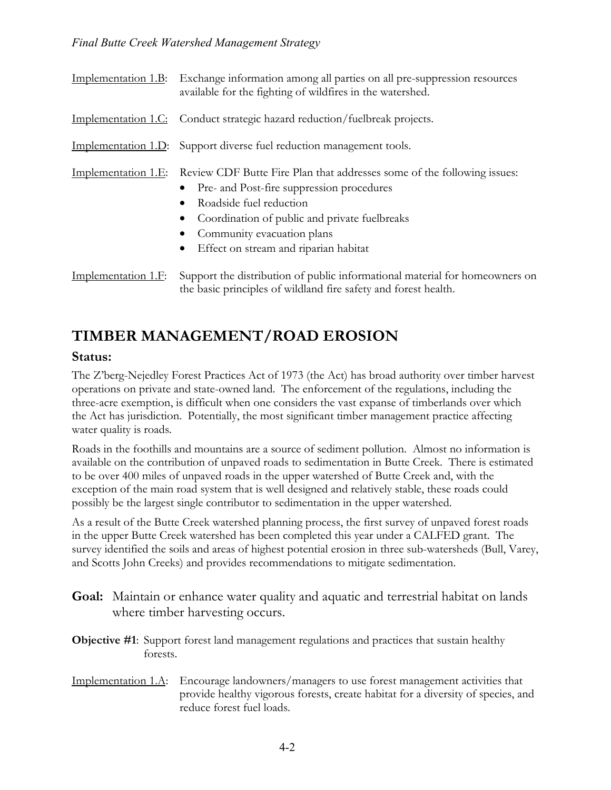|                     | Implementation 1.B: Exchange information among all parties on all pre-suppression resources<br>available for the fighting of wildfires in the watershed.                                                                                                                                            |
|---------------------|-----------------------------------------------------------------------------------------------------------------------------------------------------------------------------------------------------------------------------------------------------------------------------------------------------|
|                     | Implementation 1.C: Conduct strategic hazard reduction/fuelbreak projects.                                                                                                                                                                                                                          |
|                     | Implementation 1.D: Support diverse fuel reduction management tools.                                                                                                                                                                                                                                |
| Implementation 1.E: | Review CDF Butte Fire Plan that addresses some of the following issues:<br>• Pre- and Post-fire suppression procedures<br>Roadside fuel reduction<br>Coordination of public and private fuelbreaks<br>$\bullet$<br>Community evacuation plans<br>Effect on stream and riparian habitat<br>$\bullet$ |
| Implementation 1.F: | Support the distribution of public informational material for homeowners on                                                                                                                                                                                                                         |

# **TIMBER MANAGEMENT/ROAD EROSION**

### **Status:**

The Z'berg-Nejedley Forest Practices Act of 1973 (the Act) has broad authority over timber harvest operations on private and state-owned land. The enforcement of the regulations, including the three-acre exemption, is difficult when one considers the vast expanse of timberlands over which the Act has jurisdiction. Potentially, the most significant timber management practice affecting water quality is roads.

the basic principles of wildland fire safety and forest health.

Roads in the foothills and mountains are a source of sediment pollution. Almost no information is available on the contribution of unpaved roads to sedimentation in Butte Creek. There is estimated to be over 400 miles of unpaved roads in the upper watershed of Butte Creek and, with the exception of the main road system that is well designed and relatively stable, these roads could possibly be the largest single contributor to sedimentation in the upper watershed.

As a result of the Butte Creek watershed planning process, the first survey of unpaved forest roads in the upper Butte Creek watershed has been completed this year under a CALFED grant. The survey identified the soils and areas of highest potential erosion in three sub-watersheds (Bull, Varey, and Scotts John Creeks) and provides recommendations to mitigate sedimentation.

**Goal:** Maintain or enhance water quality and aquatic and terrestrial habitat on lands where timber harvesting occurs.

**Objective #1**: Support forest land management regulations and practices that sustain healthy forests.

Implementation 1.A: Encourage landowners/managers to use forest management activities that provide healthy vigorous forests, create habitat for a diversity of species, and reduce forest fuel loads.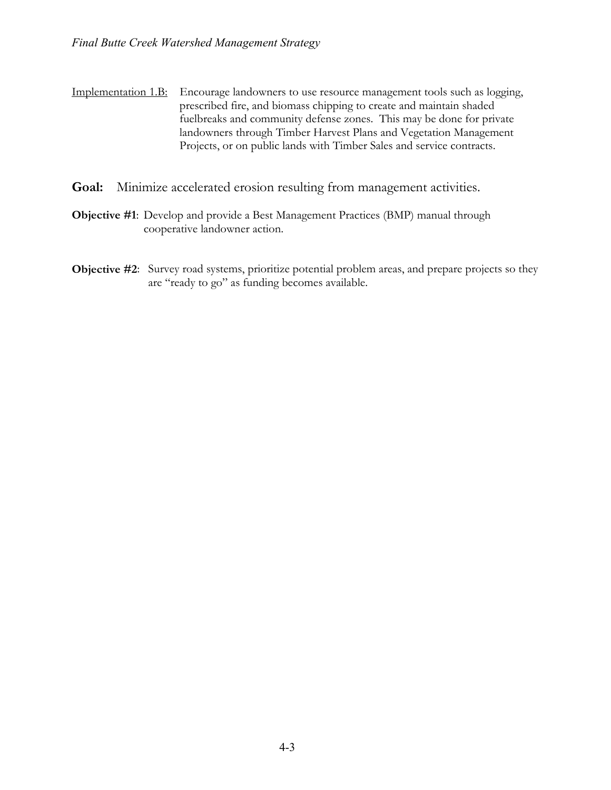Implementation 1.B: Encourage landowners to use resource management tools such as logging, prescribed fire, and biomass chipping to create and maintain shaded fuelbreaks and community defense zones. This may be done for private landowners through Timber Harvest Plans and Vegetation Management Projects, or on public lands with Timber Sales and service contracts.

- **Goal:** Minimize accelerated erosion resulting from management activities.
- **Objective #1**: Develop and provide a Best Management Practices (BMP) manual through cooperative landowner action.
- **Objective #2**: Survey road systems, prioritize potential problem areas, and prepare projects so they are "ready to go" as funding becomes available.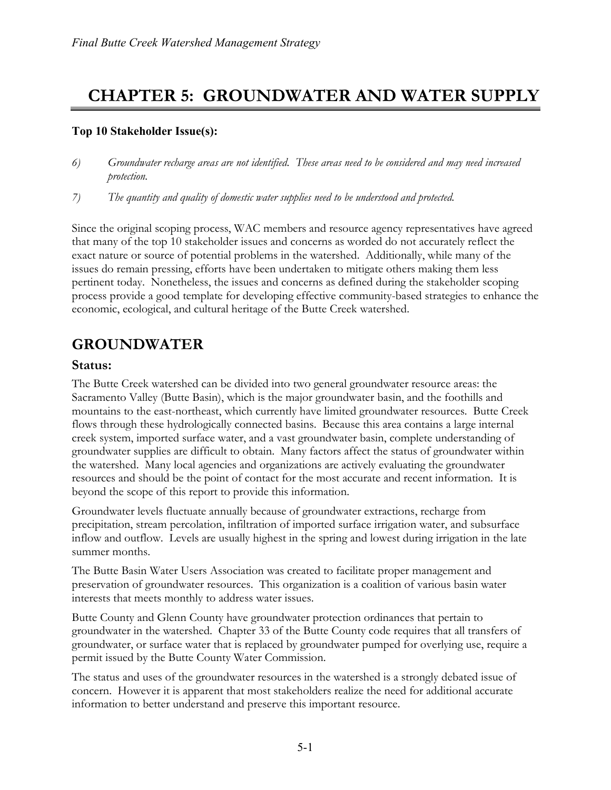# **CHAPTER 5: GROUNDWATER AND WATER SUPPLY**

### **Top 10 Stakeholder Issue(s):**

- *6) Groundwater recharge areas are not identified. These areas need to be considered and may need increased protection.*
- *7) The quantity and quality of domestic water supplies need to be understood and protected.*

Since the original scoping process, WAC members and resource agency representatives have agreed that many of the top 10 stakeholder issues and concerns as worded do not accurately reflect the exact nature or source of potential problems in the watershed. Additionally, while many of the issues do remain pressing, efforts have been undertaken to mitigate others making them less pertinent today. Nonetheless, the issues and concerns as defined during the stakeholder scoping process provide a good template for developing effective community-based strategies to enhance the economic, ecological, and cultural heritage of the Butte Creek watershed.

# **GROUNDWATER**

### **Status:**

The Butte Creek watershed can be divided into two general groundwater resource areas: the Sacramento Valley (Butte Basin), which is the major groundwater basin, and the foothills and mountains to the east-northeast, which currently have limited groundwater resources. Butte Creek flows through these hydrologically connected basins. Because this area contains a large internal creek system, imported surface water, and a vast groundwater basin, complete understanding of groundwater supplies are difficult to obtain. Many factors affect the status of groundwater within the watershed. Many local agencies and organizations are actively evaluating the groundwater resources and should be the point of contact for the most accurate and recent information. It is beyond the scope of this report to provide this information.

Groundwater levels fluctuate annually because of groundwater extractions, recharge from precipitation, stream percolation, infiltration of imported surface irrigation water, and subsurface inflow and outflow. Levels are usually highest in the spring and lowest during irrigation in the late summer months.

The Butte Basin Water Users Association was created to facilitate proper management and preservation of groundwater resources. This organization is a coalition of various basin water interests that meets monthly to address water issues.

Butte County and Glenn County have groundwater protection ordinances that pertain to groundwater in the watershed. Chapter 33 of the Butte County code requires that all transfers of groundwater, or surface water that is replaced by groundwater pumped for overlying use, require a permit issued by the Butte County Water Commission.

The status and uses of the groundwater resources in the watershed is a strongly debated issue of concern. However it is apparent that most stakeholders realize the need for additional accurate information to better understand and preserve this important resource.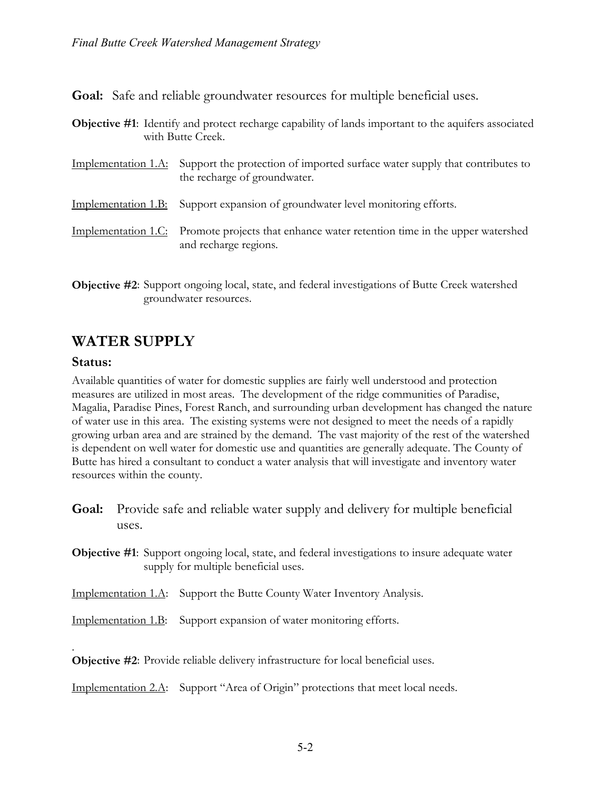**Goal:** Safe and reliable groundwater resources for multiple beneficial uses.

**Objective #1**: Identify and protect recharge capability of lands important to the aquifers associated with Butte Creek.

| Implementation 1.A: Support the protection of imported surface water supply that contributes to<br>the recharge of groundwater. |
|---------------------------------------------------------------------------------------------------------------------------------|
|                                                                                                                                 |

- Implementation 1.B: Support expansion of groundwater level monitoring efforts.
- Implementation 1.C: Promote projects that enhance water retention time in the upper watershed and recharge regions.
- **Objective #2**: Support ongoing local, state, and federal investigations of Butte Creek watershed groundwater resources.

# **WATER SUPPLY**

### **Status:**

.

Available quantities of water for domestic supplies are fairly well understood and protection measures are utilized in most areas. The development of the ridge communities of Paradise, Magalia, Paradise Pines, Forest Ranch, and surrounding urban development has changed the nature of water use in this area. The existing systems were not designed to meet the needs of a rapidly growing urban area and are strained by the demand. The vast majority of the rest of the watershed is dependent on well water for domestic use and quantities are generally adequate. The County of Butte has hired a consultant to conduct a water analysis that will investigate and inventory water resources within the county.

- **Goal:** Provide safe and reliable water supply and delivery for multiple beneficial uses.
- **Objective #1**: Support ongoing local, state, and federal investigations to insure adequate water supply for multiple beneficial uses.
- Implementation 1.A: Support the Butte County Water Inventory Analysis.
- Implementation 1.B: Support expansion of water monitoring efforts.

**Objective #2**: Provide reliable delivery infrastructure for local beneficial uses.

Implementation 2.A: Support "Area of Origin" protections that meet local needs.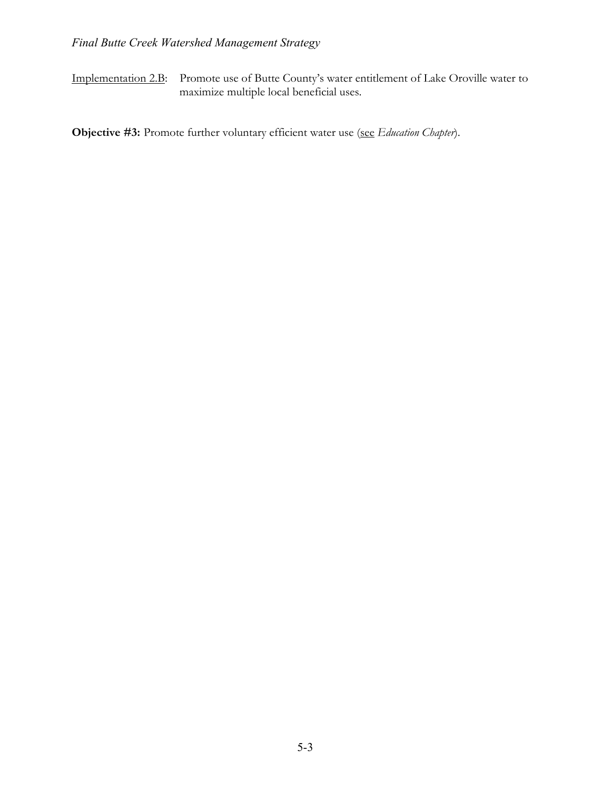Implementation 2.B: Promote use of Butte County's water entitlement of Lake Oroville water to maximize multiple local beneficial uses.

**Objective #3:** Promote further voluntary efficient water use (see *Education Chapter*).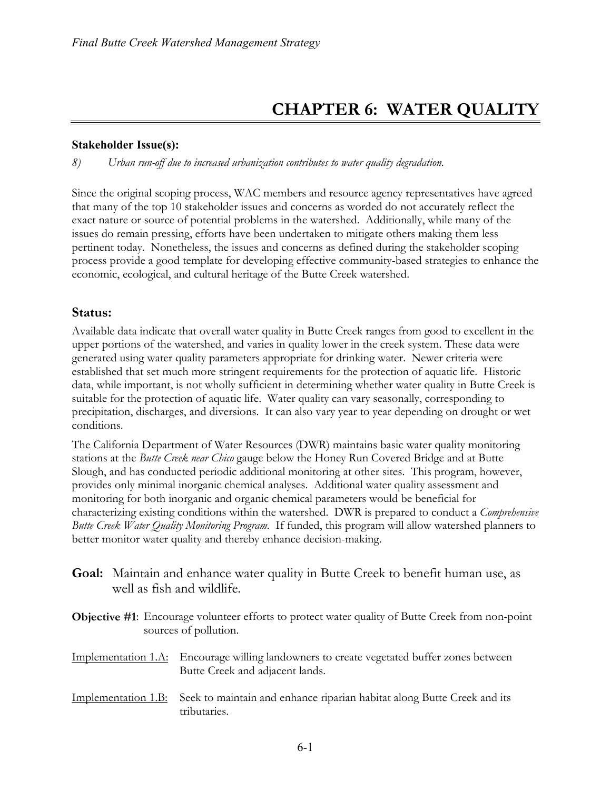# **CHAPTER 6: WATER QUALITY**

#### **Stakeholder Issue(s):**

*8) Urban run-off due to increased urbanization contributes to water quality degradation.*

Since the original scoping process, WAC members and resource agency representatives have agreed that many of the top 10 stakeholder issues and concerns as worded do not accurately reflect the exact nature or source of potential problems in the watershed. Additionally, while many of the issues do remain pressing, efforts have been undertaken to mitigate others making them less pertinent today. Nonetheless, the issues and concerns as defined during the stakeholder scoping process provide a good template for developing effective community-based strategies to enhance the economic, ecological, and cultural heritage of the Butte Creek watershed.

### **Status:**

Available data indicate that overall water quality in Butte Creek ranges from good to excellent in the upper portions of the watershed, and varies in quality lower in the creek system. These data were generated using water quality parameters appropriate for drinking water. Newer criteria were established that set much more stringent requirements for the protection of aquatic life. Historic data, while important, is not wholly sufficient in determining whether water quality in Butte Creek is suitable for the protection of aquatic life. Water quality can vary seasonally, corresponding to precipitation, discharges, and diversions. It can also vary year to year depending on drought or wet conditions.

The California Department of Water Resources (DWR) maintains basic water quality monitoring stations at the *Butte Creek near Chico* gauge below the Honey Run Covered Bridge and at Butte Slough, and has conducted periodic additional monitoring at other sites. This program, however, provides only minimal inorganic chemical analyses. Additional water quality assessment and monitoring for both inorganic and organic chemical parameters would be beneficial for characterizing existing conditions within the watershed. DWR is prepared to conduct a *Comprehensive Butte Creek Water Quality Monitoring Program.* If funded, this program will allow watershed planners to better monitor water quality and thereby enhance decision-making.

**Goal:** Maintain and enhance water quality in Butte Creek to benefit human use, as well as fish and wildlife.

**Objective #1**: Encourage volunteer efforts to protect water quality of Butte Creek from non-point sources of pollution.

- Implementation 1.A: Encourage willing landowners to create vegetated buffer zones between Butte Creek and adjacent lands.
- Implementation 1.B: Seek to maintain and enhance riparian habitat along Butte Creek and its tributaries.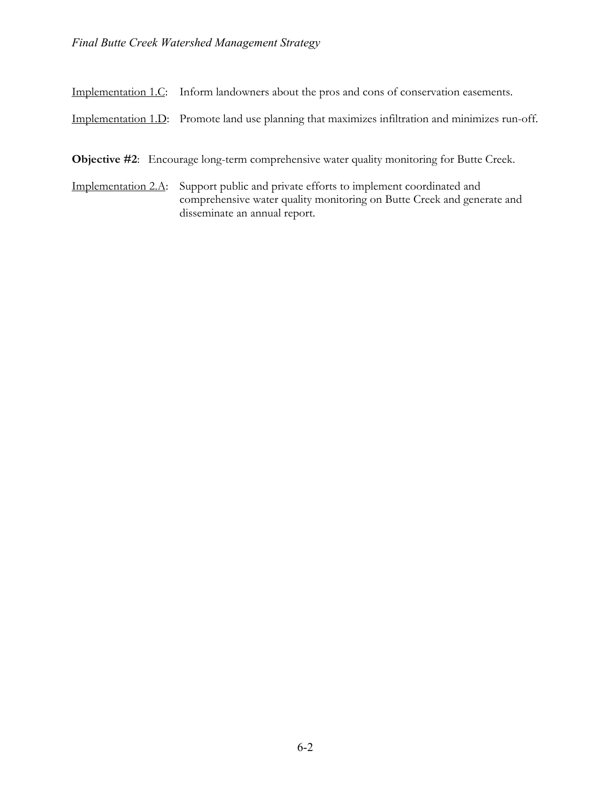Implementation 1.C: Inform landowners about the pros and cons of conservation easements.

Implementation 1.D: Promote land use planning that maximizes infiltration and minimizes run-off.

**Objective #2:** Encourage long-term comprehensive water quality monitoring for Butte Creek.

Implementation 2.A: Support public and private efforts to implement coordinated and comprehensive water quality monitoring on Butte Creek and generate and disseminate an annual report.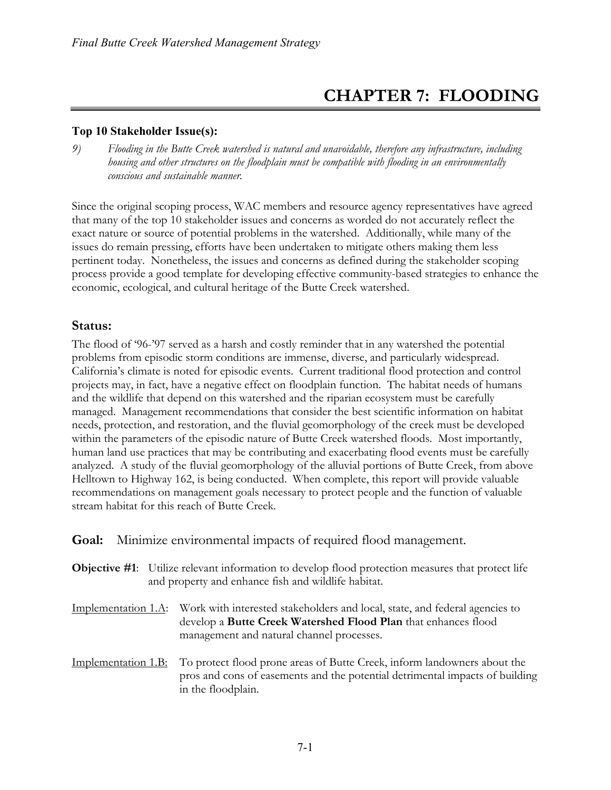# **CHAPTER 7: FLOODING**

### **Top 10 Stakeholder Issue(s):**

*9) Flooding in the Butte Creek watershed is natural and unavoidable, therefore any infrastructure, including housing and other structures on the floodplain must be compatible with flooding in an environmentally conscious and sustainable manner.*

Since the original scoping process, WAC members and resource agency representatives have agreed that many of the top 10 stakeholder issues and concerns as worded do not accurately reflect the exact nature or source of potential problems in the watershed. Additionally, while many of the issues do remain pressing, efforts have been undertaken to mitigate others making them less pertinent today. Nonetheless, the issues and concerns as defined during the stakeholder scoping process provide a good template for developing effective community-based strategies to enhance the economic, ecological, and cultural heritage of the Butte Creek watershed.

### **Status:**

The flood of '96-'97 served as a harsh and costly reminder that in any watershed the potential problems from episodic storm conditions are immense, diverse, and particularly widespread. California's climate is noted for episodic events. Current traditional flood protection and control projects may, in fact, have a negative effect on floodplain function. The habitat needs of humans and the wildlife that depend on this watershed and the riparian ecosystem must be carefully managed. Management recommendations that consider the best scientific information on habitat needs, protection, and restoration, and the fluvial geomorphology of the creek must be developed within the parameters of the episodic nature of Butte Creek watershed floods. Most importantly, human land use practices that may be contributing and exacerbating flood events must be carefully analyzed. A study of the fluvial geomorphology of the alluvial portions of Butte Creek, from above Helltown to Highway 162, is being conducted. When complete, this report will provide valuable recommendations on management goals necessary to protect people and the function of valuable stream habitat for this reach of Butte Creek.

### **Goal:** Minimize environmental impacts of required flood management.

- **Objective #1**: Utilize relevant information to develop flood protection measures that protect life and property and enhance fish and wildlife habitat.
- Implementation 1.A: Work with interested stakeholders and local, state, and federal agencies to develop a **Butte Creek Watershed Flood Plan** that enhances flood management and natural channel processes.
- Implementation 1.B: To protect flood prone areas of Butte Creek, inform landowners about the pros and cons of easements and the potential detrimental impacts of building in the floodplain.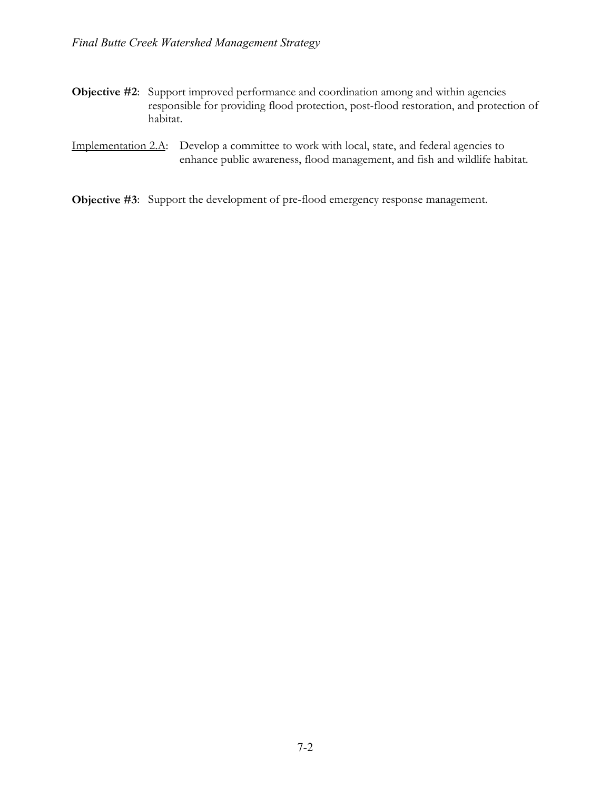- **Objective #2:** Support improved performance and coordination among and within agencies responsible for providing flood protection, post-flood restoration, and protection of habitat.
- Implementation 2.A: Develop a committee to work with local, state, and federal agencies to enhance public awareness, flood management, and fish and wildlife habitat.

**Objective #3**: Support the development of pre-flood emergency response management.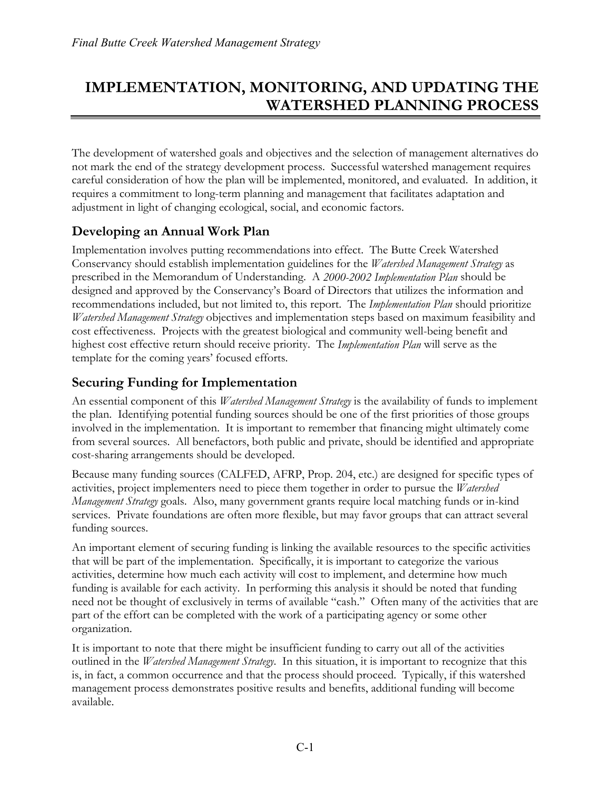# **IMPLEMENTATION, MONITORING, AND UPDATING THE WATERSHED PLANNING PROCESS**

The development of watershed goals and objectives and the selection of management alternatives do not mark the end of the strategy development process. Successful watershed management requires careful consideration of how the plan will be implemented, monitored, and evaluated. In addition, it requires a commitment to long-term planning and management that facilitates adaptation and adjustment in light of changing ecological, social, and economic factors.

### **Developing an Annual Work Plan**

Implementation involves putting recommendations into effect. The Butte Creek Watershed Conservancy should establish implementation guidelines for the *Watershed Management Strategy* as prescribed in the Memorandum of Understanding. A *2000-2002 Implementation Plan* should be designed and approved by the Conservancy's Board of Directors that utilizes the information and recommendations included, but not limited to, this report. The *Implementation Plan* should prioritize *Watershed Management Strategy* objectives and implementation steps based on maximum feasibility and cost effectiveness. Projects with the greatest biological and community well-being benefit and highest cost effective return should receive priority. The *Implementation Plan* will serve as the template for the coming years' focused efforts.

### **Securing Funding for Implementation**

An essential component of this *Watershed Management Strategy* is the availability of funds to implement the plan. Identifying potential funding sources should be one of the first priorities of those groups involved in the implementation. It is important to remember that financing might ultimately come from several sources. All benefactors, both public and private, should be identified and appropriate cost-sharing arrangements should be developed.

Because many funding sources (CALFED, AFRP, Prop. 204, etc.) are designed for specific types of activities, project implementers need to piece them together in order to pursue the *Watershed Management Strategy* goals. Also, many government grants require local matching funds or in-kind services. Private foundations are often more flexible, but may favor groups that can attract several funding sources.

An important element of securing funding is linking the available resources to the specific activities that will be part of the implementation. Specifically, it is important to categorize the various activities, determine how much each activity will cost to implement, and determine how much funding is available for each activity. In performing this analysis it should be noted that funding need not be thought of exclusively in terms of available "cash." Often many of the activities that are part of the effort can be completed with the work of a participating agency or some other organization.

It is important to note that there might be insufficient funding to carry out all of the activities outlined in the *Watershed Management Strategy*. In this situation, it is important to recognize that this is, in fact, a common occurrence and that the process should proceed. Typically, if this watershed management process demonstrates positive results and benefits, additional funding will become available.